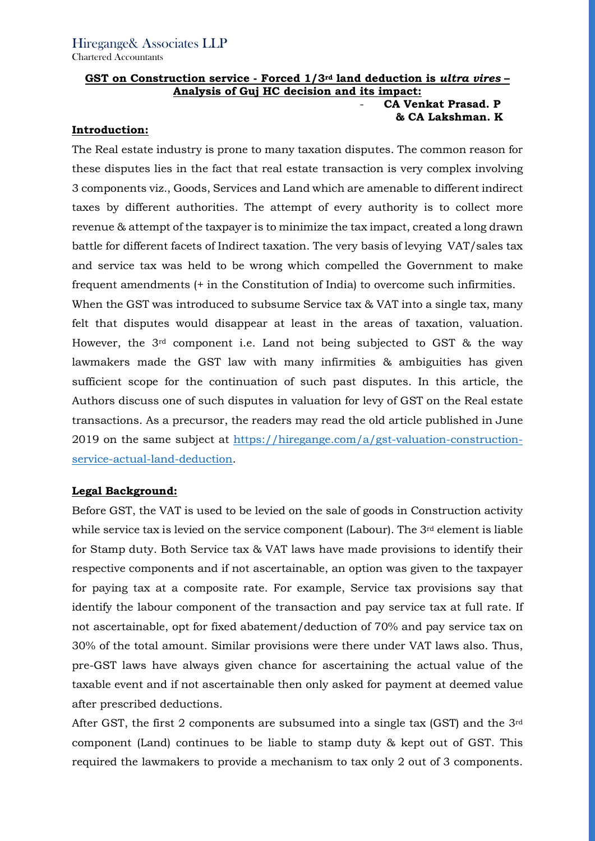# GST on Construction service - Forced 1/3<sup>rd</sup> land deduction is ultra vires -Analysis of Guj HC decision and its impact:

### CA Venkat Prasad. P & CA Lakshman. K

### Introduction:

The Real estate industry is prone to many taxation disputes. The common reason for these disputes lies in the fact that real estate transaction is very complex involving 3 components viz., Goods, Services and Land which are amenable to different indirect taxes by different authorities. The attempt of every authority is to collect more revenue & attempt of the taxpayer is to minimize the tax impact, created a long drawn battle for different facets of Indirect taxation. The very basis of levying VAT/sales tax and service tax was held to be wrong which compelled the Government to make frequent amendments (+ in the Constitution of India) to overcome such infirmities.

When the GST was introduced to subsume Service tax & VAT into a single tax, many felt that disputes would disappear at least in the areas of taxation, valuation. However, the 3rd component i.e. Land not being subjected to GST & the way lawmakers made the GST law with many infirmities & ambiguities has given sufficient scope for the continuation of such past disputes. In this article, the Authors discuss one of such disputes in valuation for levy of GST on the Real estate transactions. As a precursor, the readers may read the old article published in June 2019 on the same subject at https://hiregange.com/a/gst-valuation-constructionservice-actual-land-deduction.

# Legal Background:

Before GST, the VAT is used to be levied on the sale of goods in Construction activity while service tax is levied on the service component (Labour). The  $3<sup>rd</sup>$  element is liable for Stamp duty. Both Service tax & VAT laws have made provisions to identify their respective components and if not ascertainable, an option was given to the taxpayer for paying tax at a composite rate. For example, Service tax provisions say that identify the labour component of the transaction and pay service tax at full rate. If not ascertainable, opt for fixed abatement/deduction of 70% and pay service tax on 30% of the total amount. Similar provisions were there under VAT laws also. Thus, pre-GST laws have always given chance for ascertaining the actual value of the taxable event and if not ascertainable then only asked for payment at deemed value after prescribed deductions.

After GST, the first 2 components are subsumed into a single tax (GST) and the 3rd component (Land) continues to be liable to stamp duty & kept out of GST. This required the lawmakers to provide a mechanism to tax only 2 out of 3 components.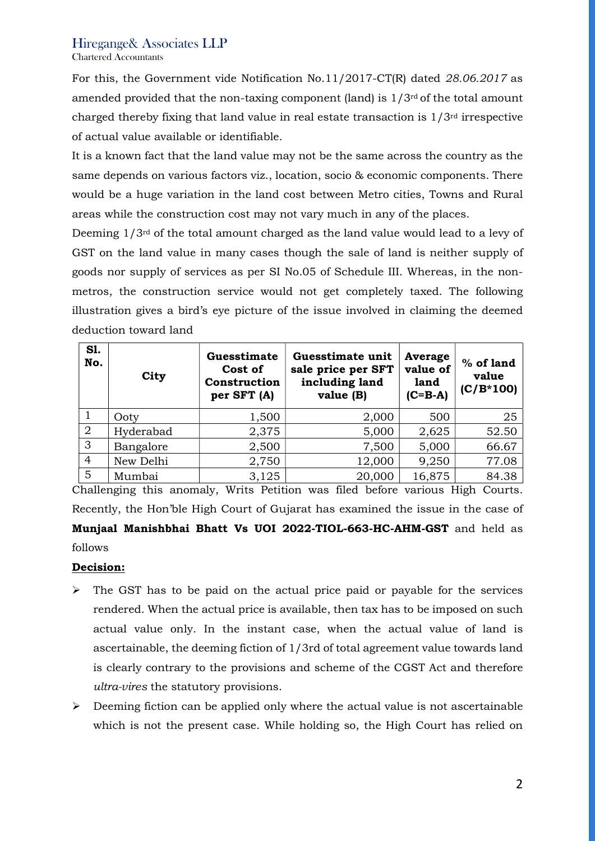# Hiregange& Associates LLP

Chartered Accountants

For this, the Government vide Notification No.11/2017-CT(R) dated 28.06.2017 as amended provided that the non-taxing component (land) is  $1/3^{rd}$  of the total amount charged thereby fixing that land value in real estate transaction is  $1/3<sup>rd</sup>$  irrespective of actual value available or identifiable.

It is a known fact that the land value may not be the same across the country as the same depends on various factors viz., location, socio & economic components. There would be a huge variation in the land cost between Metro cities, Towns and Rural areas while the construction cost may not vary much in any of the places.

Deeming 1/3rd of the total amount charged as the land value would lead to a levy of GST on the land value in many cases though the sale of land is neither supply of goods nor supply of services as per SI No.05 of Schedule III. Whereas, in the nonmetros, the construction service would not get completely taxed. The following illustration gives a bird's eye picture of the issue involved in claiming the deemed deduction toward land

| <b>S1.</b><br>No. | City      | Guesstimate<br>Cost of<br>Construction<br>per SFT (A) | Guesstimate unit<br>sale price per SFT<br>including land<br>value (B) | Average<br>value of<br>land<br>$(C=BA)$ | % of land<br>value<br>$(C/B*100)$ |
|-------------------|-----------|-------------------------------------------------------|-----------------------------------------------------------------------|-----------------------------------------|-----------------------------------|
|                   | Ooty      | 1,500                                                 | 2,000                                                                 | 500                                     | 25                                |
| $\overline{2}$    | Hyderabad | 2,375                                                 | 5,000                                                                 | 2,625                                   | 52.50                             |
| 3                 | Bangalore | 2,500                                                 | 7,500                                                                 | 5,000                                   | 66.67                             |
| $\overline{4}$    | New Delhi | 2,750                                                 | 12,000                                                                | 9,250                                   | 77.08                             |
| 5                 | Mumbai    | 3,125                                                 | 20,000                                                                | 16,875                                  | 84.38                             |

Challenging this anomaly, Writs Petition was filed before various High Courts. Recently, the Hon'ble High Court of Gujarat has examined the issue in the case of Munjaal Manishbhai Bhatt Vs UOI 2022-TIOL-663-HC-AHM-GST and held as follows

# Decision:

- $\triangleright$  The GST has to be paid on the actual price paid or payable for the services rendered. When the actual price is available, then tax has to be imposed on such actual value only. In the instant case, when the actual value of land is ascertainable, the deeming fiction of 1/3rd of total agreement value towards land is clearly contrary to the provisions and scheme of the CGST Act and therefore ultra-vires the statutory provisions.
- $\triangleright$  Deeming fiction can be applied only where the actual value is not ascertainable which is not the present case. While holding so, the High Court has relied on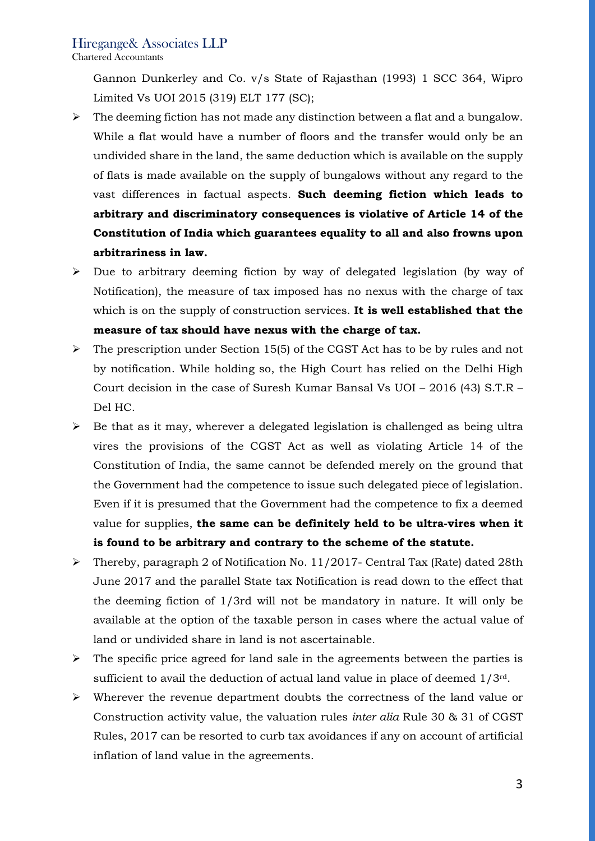# Hiregange& Associates LLP

Chartered Accountants

Gannon Dunkerley and Co. v/s State of Rajasthan (1993) 1 SCC 364, Wipro Limited Vs UOI 2015 (319) ELT 177 (SC);

- $\triangleright$  The deeming fiction has not made any distinction between a flat and a bungalow. While a flat would have a number of floors and the transfer would only be an undivided share in the land, the same deduction which is available on the supply of flats is made available on the supply of bungalows without any regard to the vast differences in factual aspects. Such deeming fiction which leads to arbitrary and discriminatory consequences is violative of Article 14 of the Constitution of India which guarantees equality to all and also frowns upon arbitrariness in law.
- $\triangleright$  Due to arbitrary deeming fiction by way of delegated legislation (by way of Notification), the measure of tax imposed has no nexus with the charge of tax which is on the supply of construction services. It is well established that the measure of tax should have nexus with the charge of tax.
- $\triangleright$  The prescription under Section 15(5) of the CGST Act has to be by rules and not by notification. While holding so, the High Court has relied on the Delhi High Court decision in the case of Suresh Kumar Bansal Vs UOI – 2016 (43) S.T.R – Del HC.
- $\triangleright$  Be that as it may, wherever a delegated legislation is challenged as being ultra vires the provisions of the CGST Act as well as violating Article 14 of the Constitution of India, the same cannot be defended merely on the ground that the Government had the competence to issue such delegated piece of legislation. Even if it is presumed that the Government had the competence to fix a deemed value for supplies, the same can be definitely held to be ultra-vires when it is found to be arbitrary and contrary to the scheme of the statute.
- Thereby, paragraph 2 of Notification No. 11/2017- Central Tax (Rate) dated 28th June 2017 and the parallel State tax Notification is read down to the effect that the deeming fiction of 1/3rd will not be mandatory in nature. It will only be available at the option of the taxable person in cases where the actual value of land or undivided share in land is not ascertainable.
- $\triangleright$  The specific price agreed for land sale in the agreements between the parties is sufficient to avail the deduction of actual land value in place of deemed  $1/3^{rd}$ .
- $\triangleright$  Wherever the revenue department doubts the correctness of the land value or Construction activity value, the valuation rules inter alia Rule 30 & 31 of CGST Rules, 2017 can be resorted to curb tax avoidances if any on account of artificial inflation of land value in the agreements.